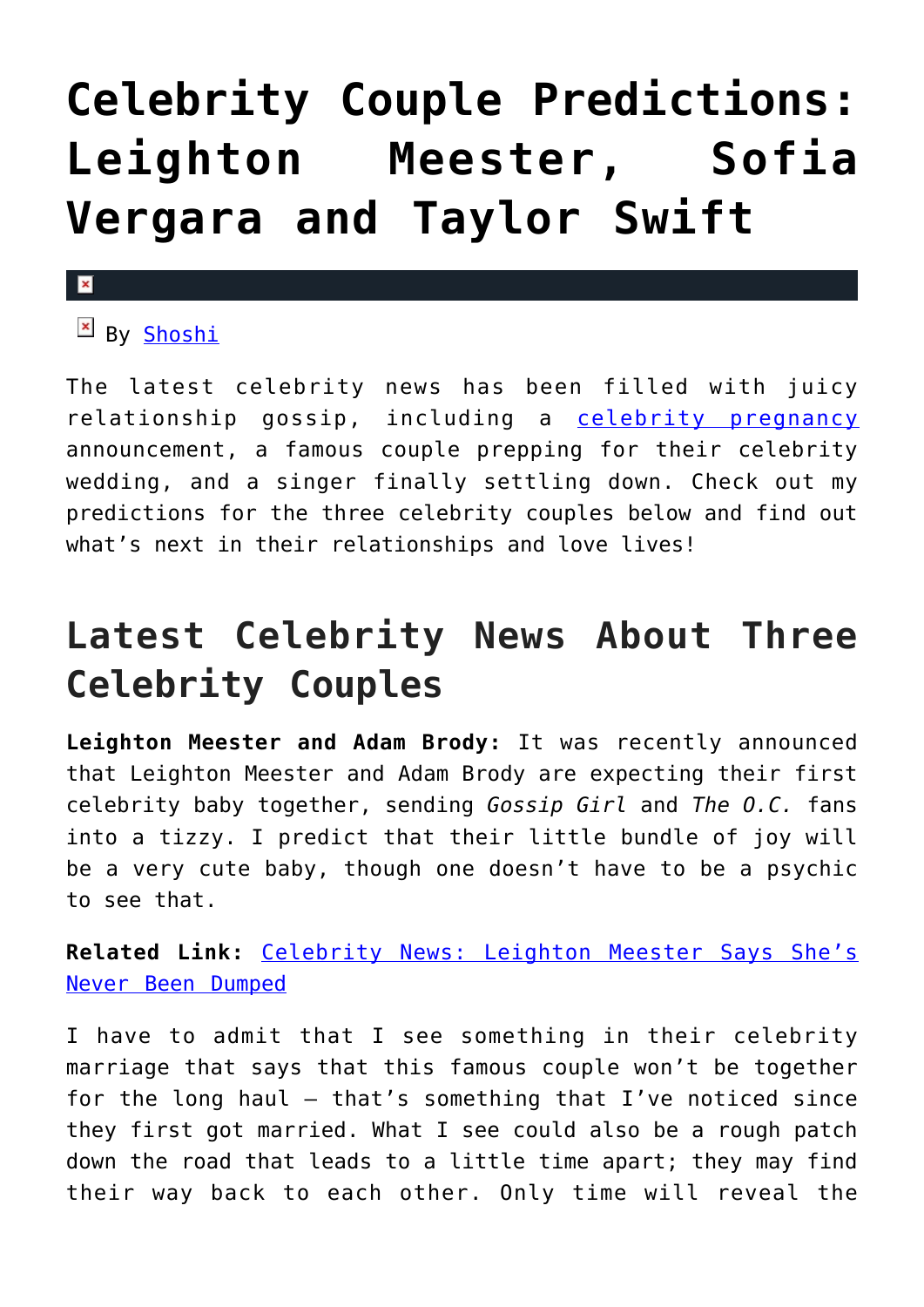## **[Celebrity Couple Predictions:](https://cupidspulse.com/93203/celebrity-couple-predictions-leighton-meester-sofia-vergara-taylor-swift/) [Leighton Meester, Sofia](https://cupidspulse.com/93203/celebrity-couple-predictions-leighton-meester-sofia-vergara-taylor-swift/) [Vergara and Taylor Swift](https://cupidspulse.com/93203/celebrity-couple-predictions-leighton-meester-sofia-vergara-taylor-swift/)**

## $\mathbf x$

 $B_V$  [Shoshi](https://about.me/yolandashoshana)

The latest celebrity news has been filled with juicy relationship gossip, including a [celebrity pregnancy](http://cupidspulse.com/celebrity-relationships/celebrity-babies/) announcement, a famous couple prepping for their celebrity wedding, and a singer finally settling down. Check out my predictions for the three celebrity couples below and find out what's next in their relationships and love lives!

## **Latest Celebrity News About Three Celebrity Couples**

**Leighton Meester and Adam Brody:** It was recently announced that Leighton Meester and Adam Brody are expecting their first celebrity baby together, sending *Gossip Girl* and *The O.C.* fans into a tizzy. I predict that their little bundle of joy will be a very cute baby, though one doesn't have to be a psychic to see that.

**Related Link:** [Celebrity News: Leighton Meester Says She's](http://cupidspulse.com/92840/celebrity-news-leighton-meester-never-been-dumped/) [Never Been Dumped](http://cupidspulse.com/92840/celebrity-news-leighton-meester-never-been-dumped/)

I have to admit that I see something in their celebrity marriage that says that this famous couple won't be together for the long haul  $-$  that's something that I've noticed since they first got married. What I see could also be a rough patch down the road that leads to a little time apart; they may find their way back to each other. Only time will reveal the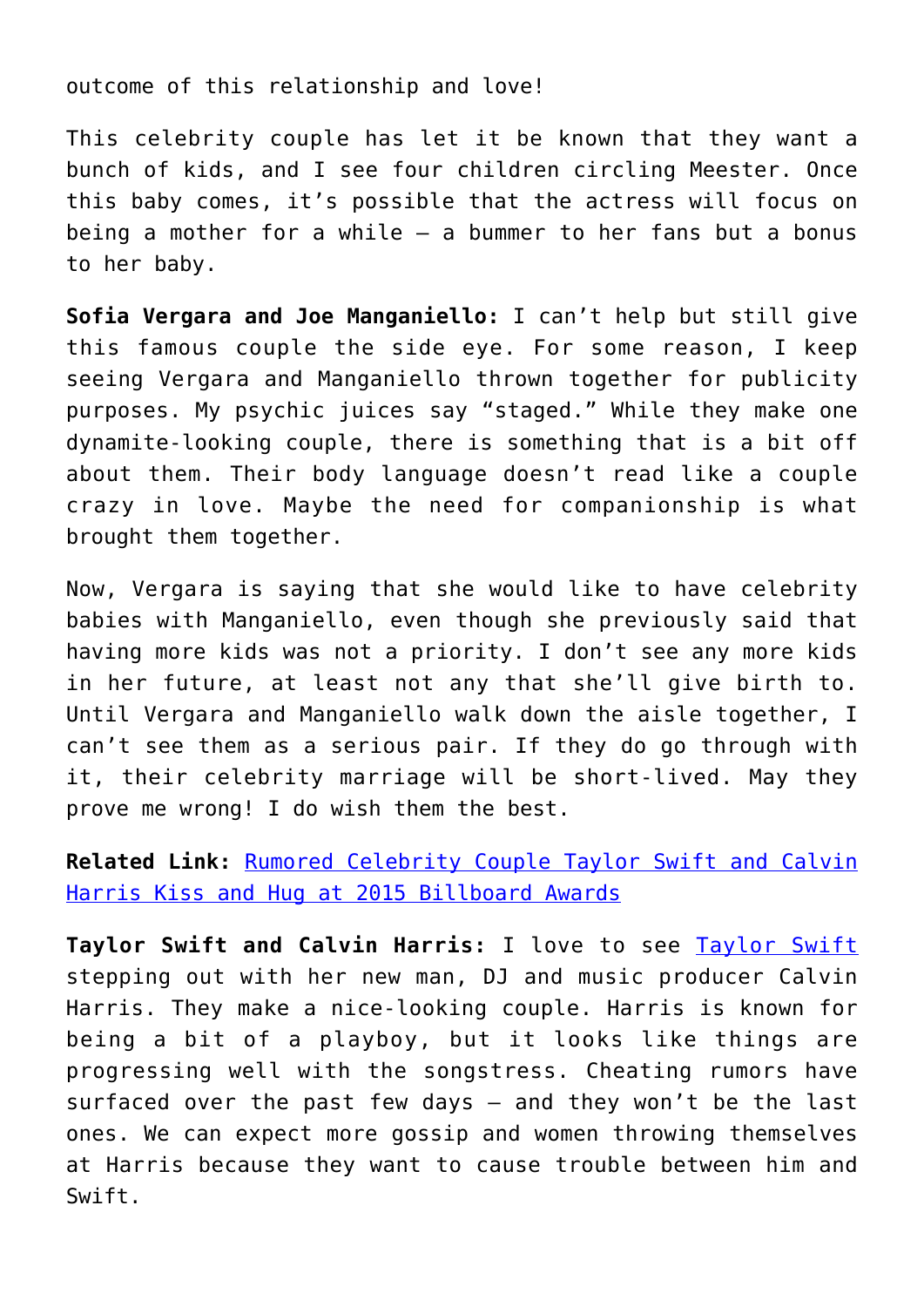outcome of this relationship and love!

This celebrity couple has let it be known that they want a bunch of kids, and I see four children circling Meester. Once this baby comes, it's possible that the actress will focus on being a mother for a while — a bummer to her fans but a bonus to her baby.

**Sofia Vergara and Joe Manganiello:** I can't help but still give this famous couple the side eye. For some reason, I keep seeing Vergara and Manganiello thrown together for publicity purposes. My psychic juices say "staged." While they make one dynamite-looking couple, there is something that is a bit off about them. Their body language doesn't read like a couple crazy in love. Maybe the need for companionship is what brought them together.

Now, Vergara is saying that she would like to have celebrity babies with Manganiello, even though she previously said that having more kids was not a priority. I don't see any more kids in her future, at least not any that she'll give birth to. Until Vergara and Manganiello walk down the aisle together, I can't see them as a serious pair. If they do go through with it, their celebrity marriage will be short-lived. May they prove me wrong! I do wish them the best.

**Related Link:** [Rumored Celebrity Couple Taylor Swift and Calvin](http://cupidspulse.com/93065/rumored-celebrity-couple-taylor-swift-calvin-harris-kiss-hug-2015-billboard-awards/) [Harris Kiss and Hug at 2015 Billboard Awards](http://cupidspulse.com/93065/rumored-celebrity-couple-taylor-swift-calvin-harris-kiss-hug-2015-billboard-awards/)

**Taylor Swift and Calvin Harris:** I love to see [Taylor Swift](http://cupidspulse.com/86081/taylor-swift/) stepping out with her new man, DJ and music producer Calvin Harris. They make a nice-looking couple. Harris is known for being a bit of a playboy, but it looks like things are progressing well with the songstress. Cheating rumors have surfaced over the past few days — and they won't be the last ones. We can expect more gossip and women throwing themselves at Harris because they want to cause trouble between him and Swift.